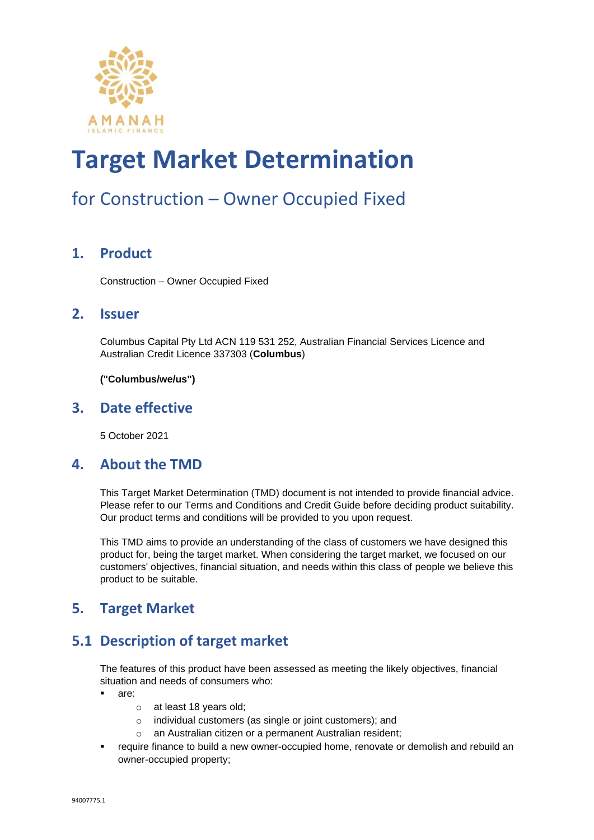

### for Construction – Owner Occupied Fixed

#### **1. Product**

Construction – Owner Occupied Fixed

#### **2. Issuer**

Columbus Capital Pty Ltd ACN 119 531 252, Australian Financial Services Licence and Australian Credit Licence 337303 (**Columbus**)

**("Columbus/we/us")**

#### **3. Date effective**

5 October 2021

#### **4. About the TMD**

This Target Market Determination (TMD) document is not intended to provide financial advice. Please refer to our Terms and Conditions and Credit Guide before deciding product suitability. Our product terms and conditions will be provided to you upon request.

This TMD aims to provide an understanding of the class of customers we have designed this product for, being the target market. When considering the target market, we focused on our customers' objectives, financial situation, and needs within this class of people we believe this product to be suitable.

#### **5. Target Market**

#### **5.1 Description of target market**

The features of this product have been assessed as meeting the likely objectives, financial situation and needs of consumers who:

- are:
	- o at least 18 years old;
	- o individual customers (as single or joint customers); and
	- o an Australian citizen or a permanent Australian resident;
- **•** require finance to build a new owner-occupied home, renovate or demolish and rebuild an owner-occupied property;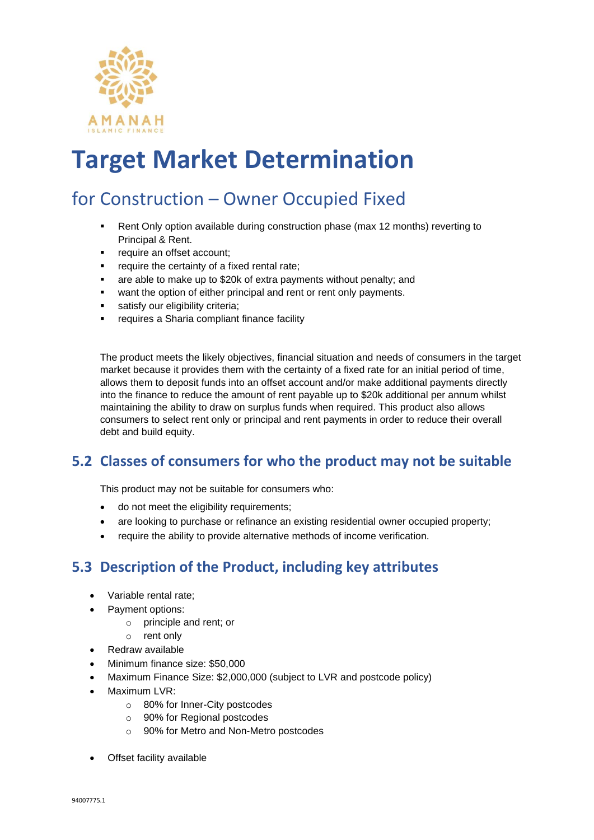

### for Construction – Owner Occupied Fixed

- **•** Rent Only option available during construction phase (max 12 months) reverting to Principal & Rent.
- require an offset account;
- require the certainty of a fixed rental rate;
- are able to make up to \$20k of extra payments without penalty; and
- want the option of either principal and rent or rent only payments.
- satisfy our eligibility criteria:
- requires a Sharia compliant finance facility

The product meets the likely objectives, financial situation and needs of consumers in the target market because it provides them with the certainty of a fixed rate for an initial period of time, allows them to deposit funds into an offset account and/or make additional payments directly into the finance to reduce the amount of rent payable up to \$20k additional per annum whilst maintaining the ability to draw on surplus funds when required. This product also allows consumers to select rent only or principal and rent payments in order to reduce their overall debt and build equity.

#### **5.2 Classes of consumers for who the product may not be suitable**

This product may not be suitable for consumers who:

- do not meet the eligibility requirements;
- are looking to purchase or refinance an existing residential owner occupied property;
- require the ability to provide alternative methods of income verification.

#### **5.3 Description of the Product, including key attributes**

- Variable rental rate;
- Payment options:
	- o principle and rent; or
	- o rent only
- Redraw available
- Minimum finance size: \$50,000
- Maximum Finance Size: \$2,000,000 (subject to LVR and postcode policy)
- Maximum LVR:
	- o 80% for Inner-City postcodes
	- o 90% for Regional postcodes
	- o 90% for Metro and Non-Metro postcodes
- **Offset facility available**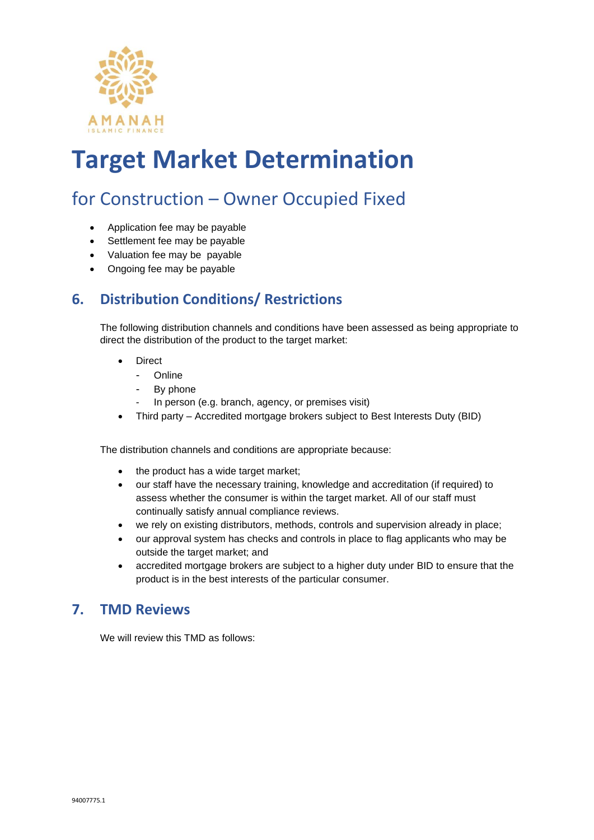

### for Construction – Owner Occupied Fixed

- Application fee may be payable
- Settlement fee may be payable
- Valuation fee may be payable
- Ongoing fee may be payable

#### **6. Distribution Conditions/ Restrictions**

The following distribution channels and conditions have been assessed as being appropriate to direct the distribution of the product to the target market:

- **Direct** 
	- Online
	- By phone
	- In person (e.g. branch, agency, or premises visit)
- Third party Accredited mortgage brokers subject to Best Interests Duty (BID)

The distribution channels and conditions are appropriate because:

- the product has a wide target market;
- our staff have the necessary training, knowledge and accreditation (if required) to assess whether the consumer is within the target market. All of our staff must continually satisfy annual compliance reviews.
- we rely on existing distributors, methods, controls and supervision already in place;
- our approval system has checks and controls in place to flag applicants who may be outside the target market; and
- accredited mortgage brokers are subject to a higher duty under BID to ensure that the product is in the best interests of the particular consumer.

#### **7. TMD Reviews**

We will review this TMD as follows: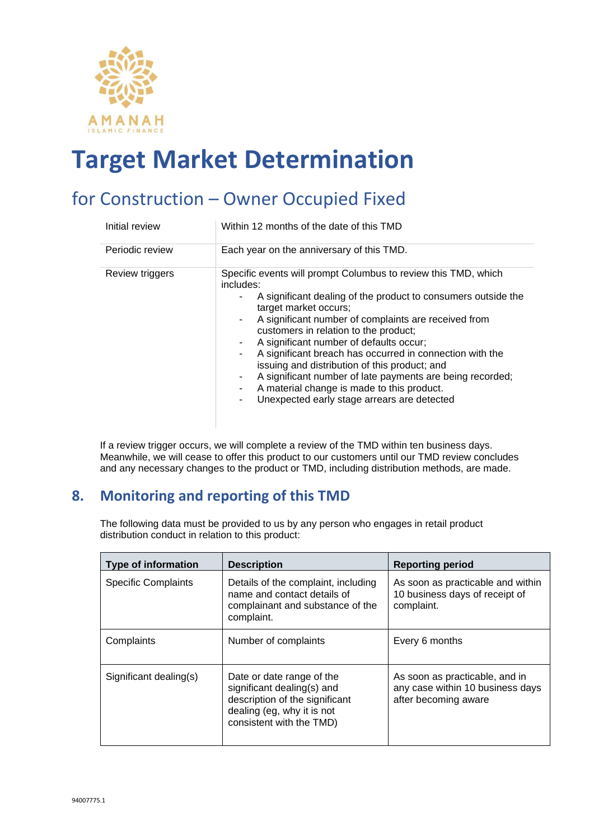

### for Construction – Owner Occupied Fixed

| Initial review  | Within 12 months of the date of this TMD                                                                                                                                                                                                                                                                                                                                                                                                                                                                                                                                                                   |
|-----------------|------------------------------------------------------------------------------------------------------------------------------------------------------------------------------------------------------------------------------------------------------------------------------------------------------------------------------------------------------------------------------------------------------------------------------------------------------------------------------------------------------------------------------------------------------------------------------------------------------------|
| Periodic review | Each year on the anniversary of this TMD.                                                                                                                                                                                                                                                                                                                                                                                                                                                                                                                                                                  |
| Review triggers | Specific events will prompt Columbus to review this TMD, which<br>includes:<br>A significant dealing of the product to consumers outside the<br>target market occurs;<br>A significant number of complaints are received from<br>٠.<br>customers in relation to the product;<br>A significant number of defaults occur;<br>A significant breach has occurred in connection with the<br>۰.<br>issuing and distribution of this product; and<br>A significant number of late payments are being recorded;<br>A material change is made to this product.<br>Unexpected early stage arrears are detected<br>٠. |

If a review trigger occurs, we will complete a review of the TMD within ten business days. Meanwhile, we will cease to offer this product to our customers until our TMD review concludes and any necessary changes to the product or TMD, including distribution methods, are made.

#### **8. Monitoring and reporting of this TMD**

The following data must be provided to us by any person who engages in retail product distribution conduct in relation to this product:

| <b>Type of information</b> | <b>Description</b>                                                                                                                                  | <b>Reporting period</b>                                                                    |
|----------------------------|-----------------------------------------------------------------------------------------------------------------------------------------------------|--------------------------------------------------------------------------------------------|
| <b>Specific Complaints</b> | Details of the complaint, including<br>name and contact details of<br>complainant and substance of the<br>complaint.                                | As soon as practicable and within<br>10 business days of receipt of<br>complaint.          |
| Complaints                 | Number of complaints                                                                                                                                | Every 6 months                                                                             |
| Significant dealing(s)     | Date or date range of the<br>significant dealing(s) and<br>description of the significant<br>dealing (eg, why it is not<br>consistent with the TMD) | As soon as practicable, and in<br>any case within 10 business days<br>after becoming aware |